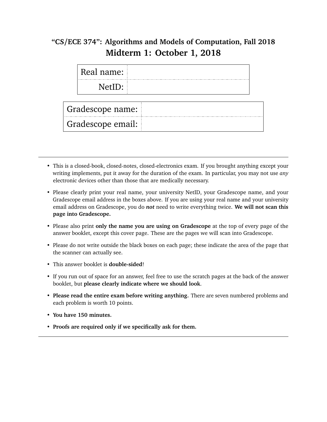## **"CS/ECE 374": Algorithms and Models of Computation, Fall 2018 Midterm 1: October 1, 2018**

| Real name:  |  |
|-------------|--|
| .<br>NetII) |  |
|             |  |

Gradescope name:

Gradescope email:

- This is a closed-book, closed-notes, closed-electronics exam. If you brought anything except your writing implements, put it away for the duration of the exam. In particular, you may not use *any* electronic devices other than those that are medically necessary.
- Please clearly print your real name, your university NetID, your Gradescope name, and your Gradescope email address in the boxes above. If you are using your real name and your university email address on Gradescope, you do *not* need to write everything twice. **We will not scan this page into Gradescope.**
- Please also print **only the name you are using on Gradescope** at the top of every page of the answer booklet, except this cover page. These are the pages we will scan into Gradescope.
- Please do not write outside the black boxes on each page; these indicate the area of the page that the scanner can actually see.
- This answer booklet is **double-sided**!
- If you run out of space for an answer, feel free to use the scratch pages at the back of the answer booklet, but **please clearly indicate where we should look**.
- **Please read the entire exam before writing anything.** There are seven numbered problems and each problem is worth 10 points.
- **You have 150 minutes.**
- **Proofs are required only if we specifically ask for them.**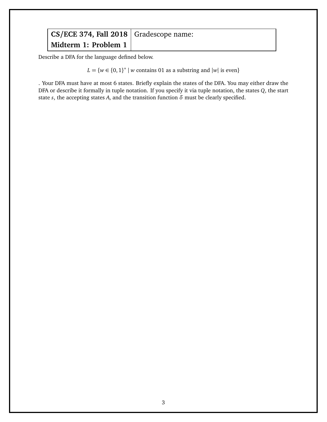Describe a DFA for the language defined below.

 $L = \{w \in \{0, 1\}^* \mid w \text{ contains 01 as a substring and } |w| \text{ is even}\}$ 

. Your DFA must have at most 6 states. Briefly explain the states of the DFA. You may either draw the DFA or describe it formally in tuple notation. If you specify it via tuple notation, the states *Q*, the start state *s*, the accepting states *A*, and the transition function  $\delta$  must be clearly specified.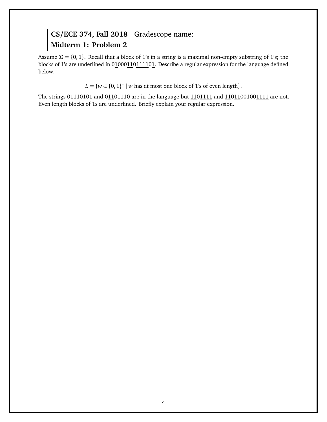Assume  $\Sigma = \{0, 1\}$ . Recall that a block of 1's in a string is a maximal non-empty substring of 1's; the blocks of 1's are underlined in 01000110111101. Describe a regular expression for the language defined below.

 $L = \{w \in \{0, 1\}^* \mid w \text{ has at most one block of 1's of even length}\}.$ 

The strings 01110101 and 01101110 are in the language but 1101111 and 11011001001111 are not. Even length blocks of 1s are underlined. Briefly explain your regular expression.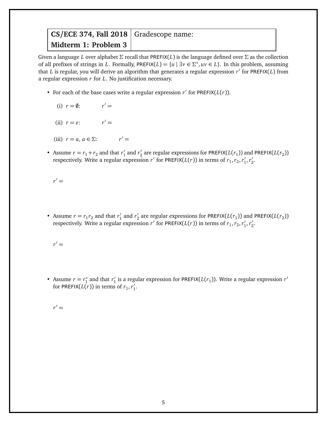Given a language *L* over alphabet *Σ* recall that PREFIX(*L*) is the language defined over *Σ* as the collection of all prefixes of strings in *L*. Formally, PREFIX(*L*) = {*u* |  $\exists v \in \Sigma^*$ ,  $uv \in L$ }. In this problem, assuming that L is regular, you will derive an algorithm that generates a regular expression r' for PREFIX(L) from a regular expression *r* for *L*. No justification necessary.

- For each of the base cases write a regular expression  $r'$  for PREFIX( $L(r)$ ).
	- (i)  $r = \emptyset$ :  $r' =$
	- (ii)  $r = \varepsilon$ :  $r' =$
	- (iii)  $r = a, a \in \Sigma$ :  $r' =$
- Assume  $r = r_1 + r_2$  and that  $r'_1$  $r'_1$  and  $r'_2$  $\frac{1}{2}$  are regular expressions for PREFIX( $L(r_1)$ ) and PREFIX( $L(r_2)$ ) respectively. Write a regular expression *r'* for PREFIX( $L(r)$ ) in terms of  $r_1, r_2, r'_1$  $\frac{1}{1}$ ,  $r_2'$  $\frac{7}{2}$

 $r' =$ 

• Assume  $r = r_1 r_2$  and that  $r'_1$  $r'_1$  and  $r'_2$  $\frac{1}{2}$  are regular expressions for PREFIX( $L(r_1)$ ) and PREFIX( $L(r_2)$ ) respectively. Write a regular expression *r'* for PREFIX( $L(r)$ ) in terms of  $r_1, r_2, r'_1$  $\frac{1}{1}$ ,  $r_2'$  $\frac{7}{2}$ 

 $r' =$ 

• Assume  $r = r_1^*$  $n_1^*$  and that  $r_1'$  $\frac{1}{1}$  is a regular expression for PREFIX( $L(r_1)$ ). Write a regular expression  $r'$ for PREFIX( $L(r)$ ) in terms of  $r_1, r'_1$  $\frac{7}{1}$ .

 $r' =$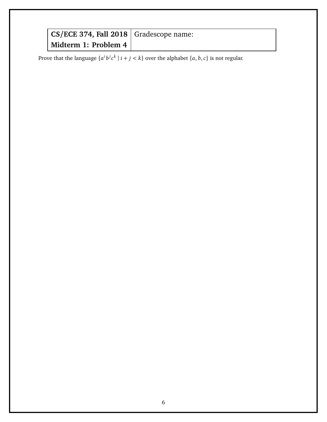| $CS/ECE$ 374, Fall 2018   Gradescope name: |  |
|--------------------------------------------|--|
| Midterm 1: Problem 4                       |  |

Prove that the language  $\{a^i b^j c^k \mid i + j < k\}$  over the alphabet  $\{a, b, c\}$  is not regular.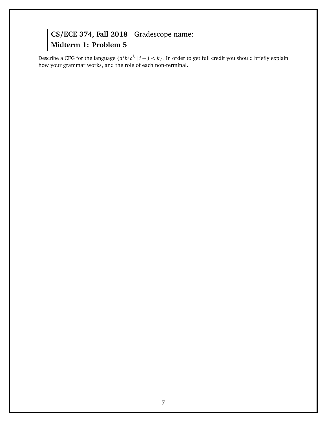| CS/ECE 374, Fall 2018 Gradescope name: |  |
|----------------------------------------|--|
| Midterm 1: Problem 5 $\vert$           |  |

Describe a CFG for the language  $\{a^i b^j c^k \mid i+j < k\}$ . In order to get full credit you should briefly explain how your grammar works, and the role of each non-terminal.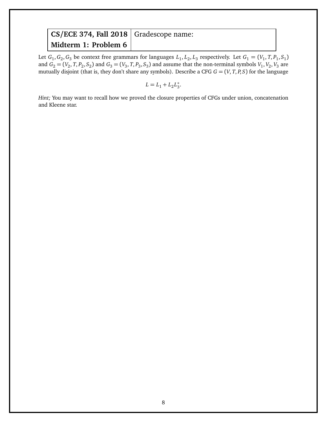Let  $G_1, G_2, G_3$  be context free grammars for languages  $L_1, L_2, L_3$  respectively. Let  $G_1 = (V_1, T, P_1, S_1)$ and  $G_2 = (V_2, T, P_2, S_2)$  and  $G_3 = (V_3, T, P_3, S_3)$  and assume that the non-terminal symbols  $V_1, V_2, V_3$  are mutually disjoint (that is, they don't share any symbols). Describe a CFG *G* = (*V*, *T*, *P*, *S*) for the language

$$
L = L_1 + L_2 L_3^*.
$$

*Hint*; You may want to recall how we proved the closure properties of CFGs under union, concatenation and Kleene star.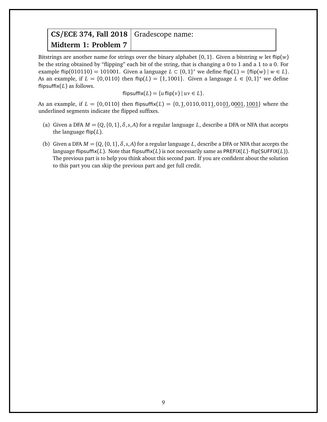Bitstrings are another name for strings over the binary alphabet {0,1}. Given a bitstring *w* let flip(*w*) be the string obtained by "flipping" each bit of the string, that is changing a 0 to 1 and a 1 to a 0. For example flip(010110) = 101001. Given a language  $L \subset \{0,1\}^*$  we define flip( $L$ ) =  $\{\text{flip}(w) \mid w \in L\}$ . As an example, if  $L = \{0, 0110\}$  then flip( $L$ ) = {1,1001}. Given a language  $L \in \{0, 1\}^*$  we define flipsuffix(*L*) as follows.

 $f_{\text{L}}(L) = \{u \text{ flip}(v) \mid uv \in L\}.$ 

As an example, if  $L = \{0,0110\}$  then flipsuffix( $L$ ) =  $\{0,1,0110,0111,0101,0001,1001\}$  where the underlined segments indicate the flipped suffixes.

- (a) Given a DFA  $M = (Q, \{0, 1\}, \delta, s, A)$  for a regular language *L*, describe a DFA or NFA that accepts the language flip(*L*).
- (b) Given a DFA  $M = (Q, \{0, 1\}, \delta, s, A)$  for a regular language L, describe a DFA or NFA that accepts the language flipsuffix(*L*). Note that flipsuffix(*L*) is not necessarily same as PREFIX(*L*)·flip(SUFFIX(*L*)). The previous part is to help you think about this second part. If you are confident about the solution to this part you can skip the previous part and get full credit.